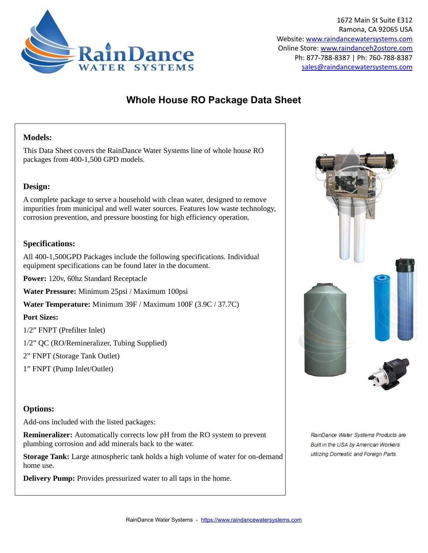

### **Whole House RO Package Data Sheet**

### **Models:**

This Data Sheet covers the RainDance Water Systems line of whole house RO packages from 400-1,500 GPD models.

#### **Design:**

A complete package to serve a household with clean water, designed to remove impurities from municipal and well water sources. Features low waste technology, corrosion prevention, and pressure boosting for high efficiency operation.

### **Specifications:**

All 400-1,500GPD Packages include the following specifications. Individual equipment specifications can be found later in the document.

**Power:** 120v, 60hz Standard Receptacle

**Water Pressure:** Minimum 25psi / Maximum 100psi

**Water Temperature:** Minimum 39F / Maximum 100F (3.9C / 37.7C)

#### **Port Sizes:**

1/2" FNPT (Prefilter Inlet)

1/2" QC (RO/Remineralizer, Tubing Supplied)

2" FNPT (Storage Tank Outlet)

1" FNPT (Pump Inlet/Outlet)

#### **Options:**

Add-ons included with the listed packages:

**Remineralizer:** Automatically corrects low pH from the RO system to prevent plumbing corrosion and add minerals back to the water.

**Storage Tank:** Large atmospheric tank holds a high volume of water for on-demand home use.

**Delivery Pump:** Provides pressurized water to all taps in the home.



RainDance Water Systems Products are Built in the USA by American Workers utilizing Domestic and Foreign Parts.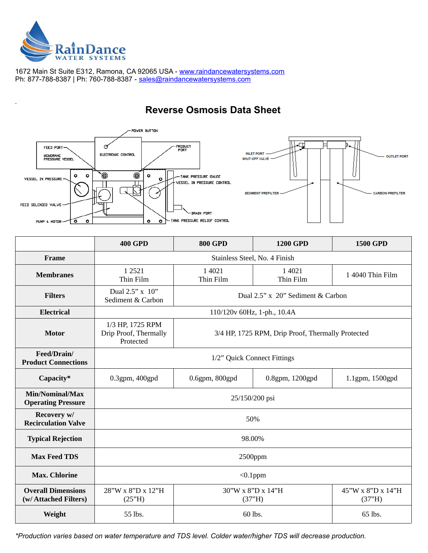

1672 Main St Suite E312, Ramona, CA 92065 USA - [www.raindancewatersystems.com](https://www.raindancewatersystems.com/) Ph: 877-788-8387 | Ph: 760-788-8387 - sales@raindancewatersystems.com

### **Reverse Osmosis Data Sheet**



|                                                    | <b>400 GPD</b>                                                                                              | <b>800 GPD</b>      | <b>1200 GPD</b>             | <b>1500 GPD</b>             |
|----------------------------------------------------|-------------------------------------------------------------------------------------------------------------|---------------------|-----------------------------|-----------------------------|
| Frame                                              | Stainless Steel, No. 4 Finish                                                                               |                     |                             |                             |
| <b>Membranes</b>                                   | 1 2 5 2 1<br>Thin Film                                                                                      | 1 4021<br>Thin Film | 1 4021<br>Thin Film         | 1 4040 Thin Film            |
| <b>Filters</b>                                     | Dual 2.5" x 10"<br>Dual 2.5" x 20" Sediment & Carbon<br>Sediment & Carbon                                   |                     |                             |                             |
| <b>Electrical</b>                                  | 110/120v 60Hz, 1-ph., 10.4A                                                                                 |                     |                             |                             |
| <b>Motor</b>                                       | 1/3 HP, 1725 RPM<br>Drip Proof, Thermally<br>3/4 HP, 1725 RPM, Drip Proof, Thermally Protected<br>Protected |                     |                             |                             |
| Feed/Drain/<br><b>Product Connections</b>          | 1/2" Quick Connect Fittings                                                                                 |                     |                             |                             |
| Capacity*                                          | 0.3gpm, 400gpd                                                                                              | 0.6gpm, 800gpd      | 0.8gpm, 1200gpd             | 1.1gpm, 1500gpd             |
| Min/Nominal/Max<br><b>Operating Pressure</b>       | 25/150/200 psi                                                                                              |                     |                             |                             |
| Recovery w/<br><b>Recirculation Valve</b>          | 50%                                                                                                         |                     |                             |                             |
| <b>Typical Rejection</b>                           | 98.00%                                                                                                      |                     |                             |                             |
| <b>Max Feed TDS</b>                                | 2500ppm                                                                                                     |                     |                             |                             |
| <b>Max. Chlorine</b>                               | $< 0.1$ ppm                                                                                                 |                     |                             |                             |
| <b>Overall Dimensions</b><br>(w/ Attached Filters) | 28"W x 8"D x 12"H<br>(25"H)                                                                                 |                     | 30"W x 8"D x 14"H<br>(37"H) | 45"W x 8"D x 14"H<br>(37"H) |
| Weight                                             | 55 lbs.                                                                                                     |                     | 60 lbs.                     | 65 lbs.                     |

*\*Production varies based on water temperature and TDS level. Colder water/higher TDS will decrease production.*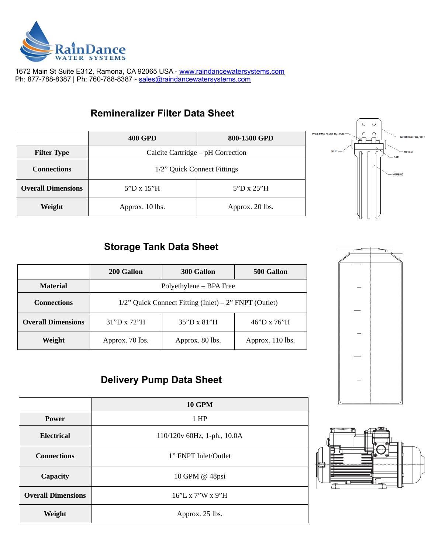

1672 Main St Suite E312, Ramona, CA 92065 USA - [www.raindancewatersystems.com](https://www.raindancewatersystems.com/) Ph: 877-788-8387 | Ph: 760-788-8387 - sales@raindancewatersystems.com

### **Remineralizer Filter Data Sheet**

|                           | 400 GPD                           | 800-1500 GPD    |
|---------------------------|-----------------------------------|-----------------|
| <b>Filter Type</b>        | Calcite Cartridge - pH Correction |                 |
| <b>Connections</b>        | 1/2" Quick Connect Fittings       |                 |
| <b>Overall Dimensions</b> | 5"D x 15"H                        | 5"D x 25"H      |
| Weight                    | Approx. 10 lbs.                   | Approx. 20 lbs. |



# **Storage Tank Data Sheet**

|                           | 200 Gallon                                               | 300 Gallon         | 500 Gallon       |
|---------------------------|----------------------------------------------------------|--------------------|------------------|
| <b>Material</b>           | Polyethylene - BPA Free                                  |                    |                  |
| <b>Connections</b>        | $1/2$ " Quick Connect Fitting (Inlet) – 2" FNPT (Outlet) |                    |                  |
| <b>Overall Dimensions</b> | 31"D x 72"H                                              | $35"D \times 81"H$ | 46"D x 76"H      |
| Weight                    | Approx. 70 lbs.                                          | Approx. 80 lbs.    | Approx. 110 lbs. |

# **Delivery Pump Data Sheet**

|                           | <b>10 GPM</b>               |  |
|---------------------------|-----------------------------|--|
| Power                     | 1 HP                        |  |
| <b>Electrical</b>         | 110/120v 60Hz, 1-ph., 10.0A |  |
| <b>Connections</b>        | 1" FNPT Inlet/Outlet        |  |
| <b>Capacity</b>           | 10 GPM @ 48psi              |  |
| <b>Overall Dimensions</b> | 16"L x 7"W x 9"H            |  |
| Weight                    | Approx. 25 lbs.             |  |